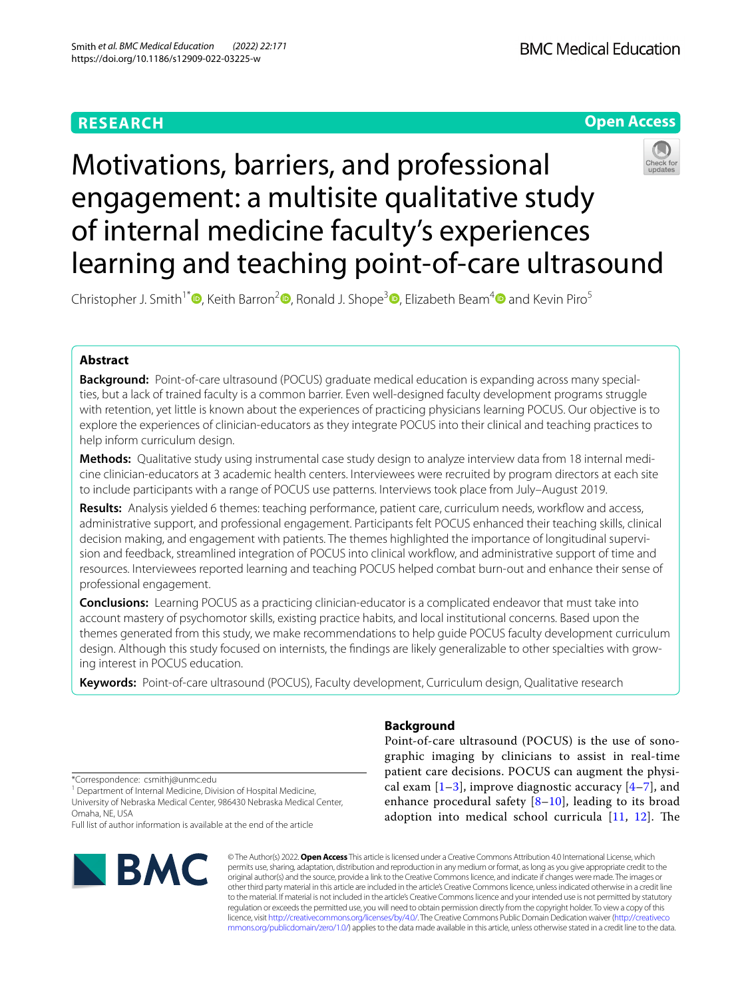# **RESEARCH**



# Motivations, barriers, and professional engagement: a multisite qualitative study of internal medicine faculty's experiences learning and teaching point-of-care ultrasound

Christopher J. Smith<sup>1\*</sup>  $\bullet$ [,](https://orcid.org/0000-0002-2990-2740) Keith Barron<sup>[2](https://orcid.org/0000-0003-3033-9497)</sup>  $\bullet$ , Ronald J. Shope<sup>3</sup>  $\bullet$ , Elizabeth Beam<sup>[4](https://orcid.org/0000-0003-2969-2509)</sup> and Kevin Piro<sup>5</sup>

# **Abstract**

**Background:** Point-of-care ultrasound (POCUS) graduate medical education is expanding across many specialties, but a lack of trained faculty is a common barrier. Even well-designed faculty development programs struggle with retention, yet little is known about the experiences of practicing physicians learning POCUS. Our objective is to explore the experiences of clinician-educators as they integrate POCUS into their clinical and teaching practices to help inform curriculum design.

**Methods:** Qualitative study using instrumental case study design to analyze interview data from 18 internal medicine clinician-educators at 3 academic health centers. Interviewees were recruited by program directors at each site to include participants with a range of POCUS use patterns. Interviews took place from July–August 2019.

**Results:** Analysis yielded 6 themes: teaching performance, patient care, curriculum needs, workfow and access, administrative support, and professional engagement. Participants felt POCUS enhanced their teaching skills, clinical decision making, and engagement with patients. The themes highlighted the importance of longitudinal supervision and feedback, streamlined integration of POCUS into clinical workfow, and administrative support of time and resources. Interviewees reported learning and teaching POCUS helped combat burn-out and enhance their sense of professional engagement.

**Conclusions:** Learning POCUS as a practicing clinician-educator is a complicated endeavor that must take into account mastery of psychomotor skills, existing practice habits, and local institutional concerns. Based upon the themes generated from this study, we make recommendations to help guide POCUS faculty development curriculum design. Although this study focused on internists, the fndings are likely generalizable to other specialties with growing interest in POCUS education.

**Keywords:** Point-of-care ultrasound (POCUS), Faculty development, Curriculum design, Qualitative research

\*Correspondence: csmithj@unmc.edu

<sup>1</sup> Department of Internal Medicine, Division of Hospital Medicine, University of Nebraska Medical Center, 986430 Nebraska Medical Center, Omaha, NE, USA

Full list of author information is available at the end of the article



# **Background**

Point-of-care ultrasound (POCUS) is the use of sonographic imaging by clinicians to assist in real-time patient care decisions. POCUS can augment the physical exam  $[1-3]$  $[1-3]$ , improve diagnostic accuracy  $[4-7]$  $[4-7]$ , and enhance procedural safety  $[8-10]$  $[8-10]$  $[8-10]$ , leading to its broad adoption into medical school curricula  $[11, 12]$  $[11, 12]$  $[11, 12]$ . The

© The Author(s) 2022. **Open Access** This article is licensed under a Creative Commons Attribution 4.0 International License, which permits use, sharing, adaptation, distribution and reproduction in any medium or format, as long as you give appropriate credit to the original author(s) and the source, provide a link to the Creative Commons licence, and indicate if changes were made. The images or other third party material in this article are included in the article's Creative Commons licence, unless indicated otherwise in a credit line to the material. If material is not included in the article's Creative Commons licence and your intended use is not permitted by statutory regulation or exceeds the permitted use, you will need to obtain permission directly from the copyright holder. To view a copy of this licence, visit [http://creativecommons.org/licenses/by/4.0/.](http://creativecommons.org/licenses/by/4.0/) The Creative Commons Public Domain Dedication waiver ([http://creativeco](http://creativecommons.org/publicdomain/zero/1.0/) [mmons.org/publicdomain/zero/1.0/](http://creativecommons.org/publicdomain/zero/1.0/)) applies to the data made available in this article, unless otherwise stated in a credit line to the data.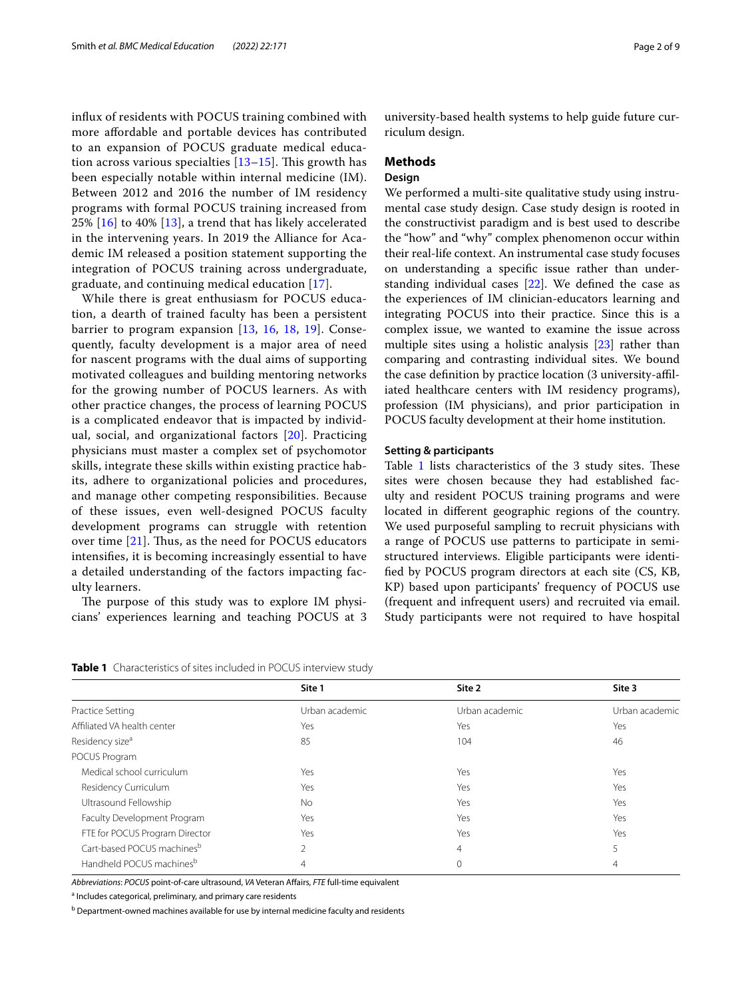infux of residents with POCUS training combined with more afordable and portable devices has contributed to an expansion of POCUS graduate medical education across various specialties  $[13-15]$  $[13-15]$ . This growth has been especially notable within internal medicine (IM). Between 2012 and 2016 the number of IM residency programs with formal POCUS training increased from 25% [[16\]](#page-7-10) to 40% [[13\]](#page-7-8), a trend that has likely accelerated in the intervening years. In 2019 the Alliance for Academic IM released a position statement supporting the integration of POCUS training across undergraduate, graduate, and continuing medical education [[17\]](#page-7-11).

While there is great enthusiasm for POCUS education, a dearth of trained faculty has been a persistent barrier to program expansion [[13](#page-7-8), [16](#page-7-10), [18,](#page-7-12) [19](#page-7-13)]. Consequently, faculty development is a major area of need for nascent programs with the dual aims of supporting motivated colleagues and building mentoring networks for the growing number of POCUS learners. As with other practice changes, the process of learning POCUS is a complicated endeavor that is impacted by individual, social, and organizational factors [[20\]](#page-7-14). Practicing physicians must master a complex set of psychomotor skills, integrate these skills within existing practice habits, adhere to organizational policies and procedures, and manage other competing responsibilities. Because of these issues, even well-designed POCUS faculty development programs can struggle with retention over time  $[21]$  $[21]$  $[21]$ . Thus, as the need for POCUS educators intensifes, it is becoming increasingly essential to have a detailed understanding of the factors impacting faculty learners.

The purpose of this study was to explore IM physicians' experiences learning and teaching POCUS at 3 university-based health systems to help guide future curriculum design.

# **Methods**

# **Design**

We performed a multi-site qualitative study using instrumental case study design. Case study design is rooted in the constructivist paradigm and is best used to describe the "how" and "why" complex phenomenon occur within their real-life context. An instrumental case study focuses on understanding a specifc issue rather than understanding individual cases [\[22](#page-7-16)]. We defned the case as the experiences of IM clinician-educators learning and integrating POCUS into their practice. Since this is a complex issue, we wanted to examine the issue across multiple sites using a holistic analysis [[23](#page-7-17)] rather than comparing and contrasting individual sites. We bound the case defnition by practice location (3 university-afliated healthcare centers with IM residency programs), profession (IM physicians), and prior participation in POCUS faculty development at their home institution.

#### **Setting & participants**

Table  $1$  lists characteristics of the  $3$  study sites. These sites were chosen because they had established faculty and resident POCUS training programs and were located in diferent geographic regions of the country. We used purposeful sampling to recruit physicians with a range of POCUS use patterns to participate in semistructured interviews. Eligible participants were identifed by POCUS program directors at each site (CS, KB, KP) based upon participants' frequency of POCUS use (frequent and infrequent users) and recruited via email. Study participants were not required to have hospital

<span id="page-1-0"></span>

|  |  | Table 1 Characteristics of sites included in POCUS interview study |  |  |
|--|--|--------------------------------------------------------------------|--|--|
|--|--|--------------------------------------------------------------------|--|--|

|                                | Site 1         | Site 2         | Site 3         |  |
|--------------------------------|----------------|----------------|----------------|--|
| Practice Setting               | Urban academic | Urban academic | Urban academic |  |
| Affiliated VA health center    | Yes            | Yes            | Yes            |  |
| Residency size <sup>a</sup>    | 85             | 104            | 46             |  |
| POCUS Program                  |                |                |                |  |
| Medical school curriculum      | Yes            | Yes            | Yes            |  |
| Residency Curriculum           | Yes            | Yes            | Yes            |  |
| Ultrasound Fellowship          | <b>No</b>      | Yes            | Yes            |  |
| Faculty Development Program    | Yes            | Yes            | Yes            |  |
| FTE for POCUS Program Director | Yes            | Yes            | Yes            |  |
| Cart-based POCUS machinesb     | $\overline{2}$ | 4              |                |  |
| Handheld POCUS machinesb       | 4              | $\circ$        | 4              |  |

Abbreviations: POCUS point-of-care ultrasound, VA Veteran Affairs, FTE full-time equivalent

<sup>a</sup> Includes categorical, preliminary, and primary care residents

<sup>b</sup> Department-owned machines available for use by internal medicine faculty and residents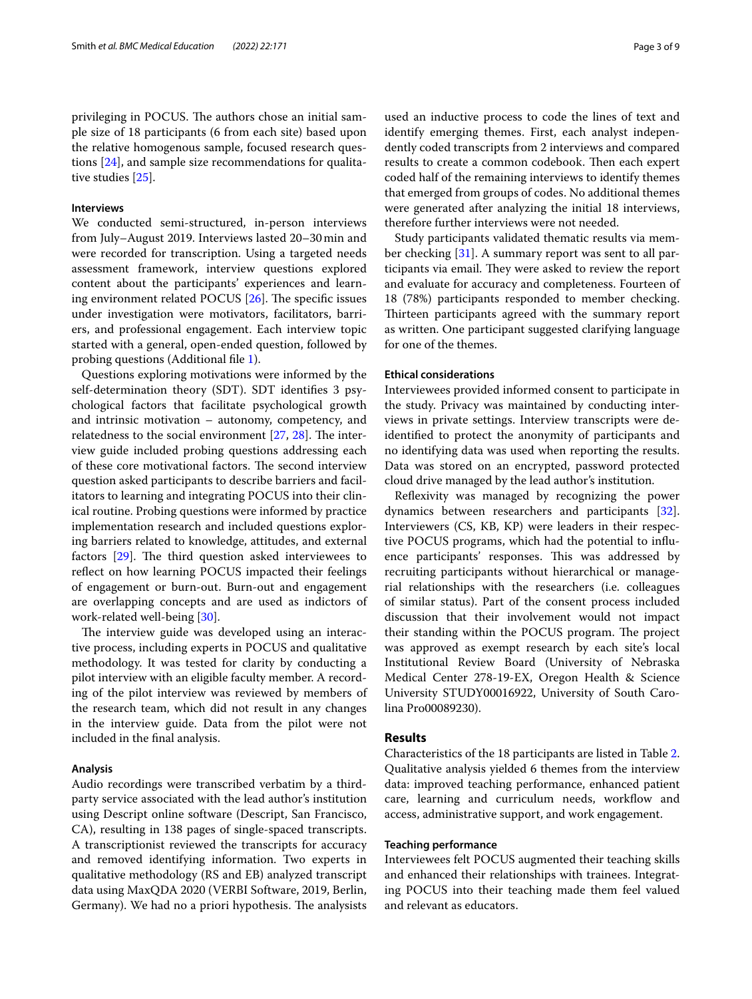privileging in POCUS. The authors chose an initial sample size of 18 participants (6 from each site) based upon the relative homogenous sample, focused research questions [[24\]](#page-7-18), and sample size recommendations for qualitative studies [[25\]](#page-7-19).

# **Interviews**

We conducted semi-structured, in-person interviews from July–August 2019. Interviews lasted 20–30min and were recorded for transcription. Using a targeted needs assessment framework, interview questions explored content about the participants' experiences and learning environment related POCUS  $[26]$ . The specific issues under investigation were motivators, facilitators, barriers, and professional engagement. Each interview topic started with a general, open-ended question, followed by probing questions (Additional fle [1](#page-6-0)).

Questions exploring motivations were informed by the self-determination theory (SDT). SDT identifes 3 psychological factors that facilitate psychological growth and intrinsic motivation – autonomy, competency, and relatedness to the social environment  $[27, 28]$  $[27, 28]$  $[27, 28]$  $[27, 28]$  $[27, 28]$ . The interview guide included probing questions addressing each of these core motivational factors. The second interview question asked participants to describe barriers and facilitators to learning and integrating POCUS into their clinical routine. Probing questions were informed by practice implementation research and included questions exploring barriers related to knowledge, attitudes, and external factors  $[29]$  $[29]$  $[29]$ . The third question asked interviewees to reflect on how learning POCUS impacted their feelings of engagement or burn-out. Burn-out and engagement are overlapping concepts and are used as indictors of work-related well-being [\[30](#page-7-24)].

The interview guide was developed using an interactive process, including experts in POCUS and qualitative methodology. It was tested for clarity by conducting a pilot interview with an eligible faculty member. A recording of the pilot interview was reviewed by members of the research team, which did not result in any changes in the interview guide. Data from the pilot were not included in the fnal analysis.

# **Analysis**

Audio recordings were transcribed verbatim by a thirdparty service associated with the lead author's institution using Descript online software (Descript, San Francisco, CA), resulting in 138 pages of single-spaced transcripts. A transcriptionist reviewed the transcripts for accuracy and removed identifying information. Two experts in qualitative methodology (RS and EB) analyzed transcript data using MaxQDA 2020 (VERBI Software, 2019, Berlin, Germany). We had no a priori hypothesis. The analysists used an inductive process to code the lines of text and identify emerging themes. First, each analyst independently coded transcripts from 2 interviews and compared results to create a common codebook. Then each expert coded half of the remaining interviews to identify themes that emerged from groups of codes. No additional themes were generated after analyzing the initial 18 interviews, therefore further interviews were not needed.

Study participants validated thematic results via member checking [\[31](#page-7-25)]. A summary report was sent to all participants via email. They were asked to review the report and evaluate for accuracy and completeness. Fourteen of 18 (78%) participants responded to member checking. Thirteen participants agreed with the summary report as written. One participant suggested clarifying language for one of the themes.

# **Ethical considerations**

Interviewees provided informed consent to participate in the study. Privacy was maintained by conducting interviews in private settings. Interview transcripts were deidentifed to protect the anonymity of participants and no identifying data was used when reporting the results. Data was stored on an encrypted, password protected cloud drive managed by the lead author's institution.

Refexivity was managed by recognizing the power dynamics between researchers and participants [\[32](#page-7-26)]. Interviewers (CS, KB, KP) were leaders in their respective POCUS programs, which had the potential to infuence participants' responses. This was addressed by recruiting participants without hierarchical or managerial relationships with the researchers (i.e. colleagues of similar status). Part of the consent process included discussion that their involvement would not impact their standing within the POCUS program. The project was approved as exempt research by each site's local Institutional Review Board (University of Nebraska Medical Center 278-19-EX, Oregon Health & Science University STUDY00016922, University of South Carolina Pro00089230).

# **Results**

Characteristics of the 18 participants are listed in Table [2](#page-3-0). Qualitative analysis yielded 6 themes from the interview data: improved teaching performance, enhanced patient care, learning and curriculum needs, workflow and access, administrative support, and work engagement.

# **Teaching performance**

Interviewees felt POCUS augmented their teaching skills and enhanced their relationships with trainees. Integrating POCUS into their teaching made them feel valued and relevant as educators.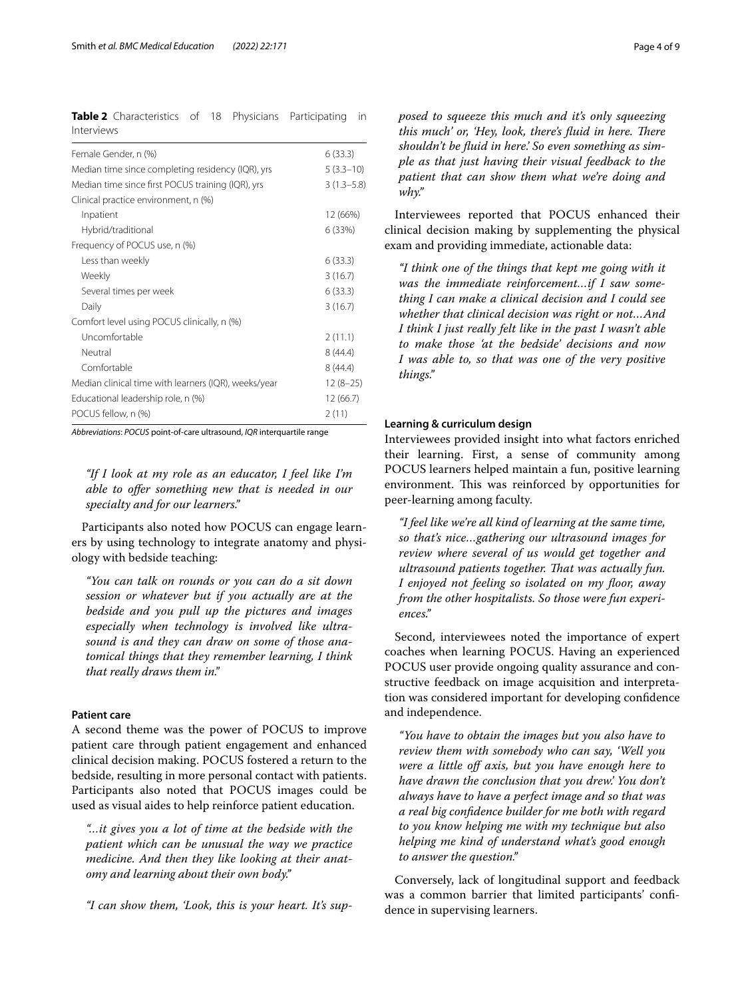<span id="page-3-0"></span>**Table 2** Characteristics of 18 Physicians Participating in Interviews

| Female Gender, n (%)                                 | 6(33.3)        |
|------------------------------------------------------|----------------|
| Median time since completing residency (IQR), yrs    | $5(3.3-10)$    |
| Median time since first POCUS training (IQR), yrs    | $3(1.3 - 5.8)$ |
| Clinical practice environment, n (%)                 |                |
| Inpatient                                            | 12 (66%)       |
| Hybrid/traditional                                   | 6 (33%)        |
| Frequency of POCUS use, n (%)                        |                |
| Less than weekly                                     | 6(33.3)        |
| Weekly                                               | 3(16.7)        |
| Several times per week                               | 6(33.3)        |
| Daily                                                | 3(16.7)        |
| Comfort level using POCUS clinically, n (%)          |                |
| Uncomfortable                                        | 2(11.1)        |
| Neutral                                              | 8(44.4)        |
| Comfortable                                          | 8(44.4)        |
| Median clinical time with learners (IQR), weeks/year | $12(8-25)$     |
| Educational leadership role, n (%)                   | 12 (66.7)      |
| POCUS fellow, n (%)                                  | 2(11)          |
|                                                      |                |

*Abbreviations*: *POCUS* point-of-care ultrasound, *IQR* interquartile range

*"If I look at my role as an educator, I feel like I'm able to ofer something new that is needed in our specialty and for our learners."*

Participants also noted how POCUS can engage learners by using technology to integrate anatomy and physiology with bedside teaching:

*"You can talk on rounds or you can do a sit down session or whatever but if you actually are at the bedside and you pull up the pictures and images especially when technology is involved like ultrasound is and they can draw on some of those anatomical things that they remember learning, I think that really draws them in."*

# **Patient care**

A second theme was the power of POCUS to improve patient care through patient engagement and enhanced clinical decision making. POCUS fostered a return to the bedside, resulting in more personal contact with patients. Participants also noted that POCUS images could be used as visual aides to help reinforce patient education.

*"…it gives you a lot of time at the bedside with the patient which can be unusual the way we practice medicine. And then they like looking at their anatomy and learning about their own body."*

*"I can show them, 'Look, this is your heart. It's sup-*

*posed to squeeze this much and it's only squeezing this much' or, 'Hey, look, there's fluid in here. There shouldn't be fuid in here.' So even something as simple as that just having their visual feedback to the patient that can show them what we're doing and why."*

Interviewees reported that POCUS enhanced their clinical decision making by supplementing the physical exam and providing immediate, actionable data:

*"I think one of the things that kept me going with it was the immediate reinforcement…if I saw something I can make a clinical decision and I could see whether that clinical decision was right or not…And I think I just really felt like in the past I wasn't able to make those 'at the bedside' decisions and now I was able to, so that was one of the very positive things."*

# **Learning & curriculum design**

Interviewees provided insight into what factors enriched their learning. First, a sense of community among POCUS learners helped maintain a fun, positive learning environment. This was reinforced by opportunities for peer-learning among faculty.

*"I feel like we're all kind of learning at the same time, so that's nice…gathering our ultrasound images for review where several of us would get together and ultrasound patients together. Tat was actually fun. I enjoyed not feeling so isolated on my foor, away from the other hospitalists. So those were fun experiences."*

Second, interviewees noted the importance of expert coaches when learning POCUS. Having an experienced POCUS user provide ongoing quality assurance and constructive feedback on image acquisition and interpretation was considered important for developing confdence and independence.

*"You have to obtain the images but you also have to review them with somebody who can say, 'Well you were a little of axis, but you have enough here to have drawn the conclusion that you drew.' You don't always have to have a perfect image and so that was a real big confdence builder for me both with regard to you know helping me with my technique but also helping me kind of understand what's good enough to answer the question."*

Conversely, lack of longitudinal support and feedback was a common barrier that limited participants' confdence in supervising learners.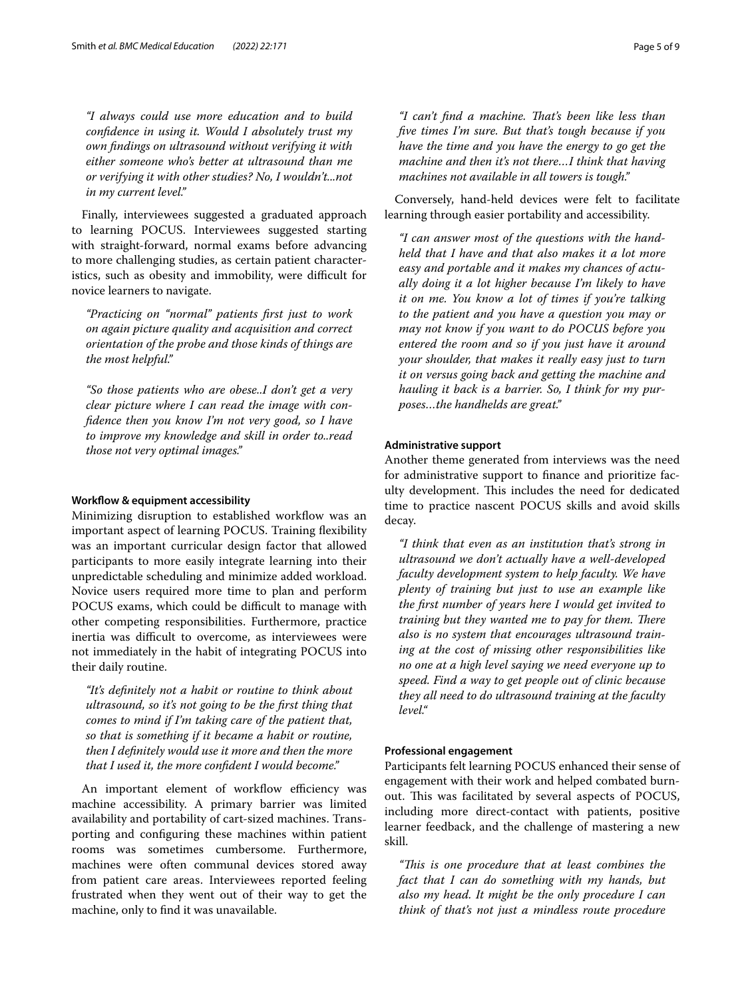*"I always could use more education and to build confdence in using it. Would I absolutely trust my own fndings on ultrasound without verifying it with either someone who's better at ultrasound than me or verifying it with other studies? No, I wouldn't...not in my current level."*

Finally, interviewees suggested a graduated approach to learning POCUS. Interviewees suggested starting with straight-forward, normal exams before advancing to more challenging studies, as certain patient characteristics, such as obesity and immobility, were difficult for novice learners to navigate.

*"Practicing on "normal" patients frst just to work on again picture quality and acquisition and correct orientation of the probe and those kinds of things are the most helpful."*

*"So those patients who are obese..I don't get a very clear picture where I can read the image with confdence then you know I'm not very good, so I have to improve my knowledge and skill in order to..read those not very optimal images."*

# **Workfow & equipment accessibility**

Minimizing disruption to established workflow was an important aspect of learning POCUS. Training fexibility was an important curricular design factor that allowed participants to more easily integrate learning into their unpredictable scheduling and minimize added workload. Novice users required more time to plan and perform POCUS exams, which could be difficult to manage with other competing responsibilities. Furthermore, practice inertia was difficult to overcome, as interviewees were not immediately in the habit of integrating POCUS into their daily routine.

*"It's defnitely not a habit or routine to think about ultrasound, so it's not going to be the frst thing that comes to mind if I'm taking care of the patient that, so that is something if it became a habit or routine, then I defnitely would use it more and then the more that I used it, the more confdent I would become."*

An important element of workflow efficiency was machine accessibility. A primary barrier was limited availability and portability of cart-sized machines. Transporting and confguring these machines within patient rooms was sometimes cumbersome. Furthermore, machines were often communal devices stored away from patient care areas. Interviewees reported feeling frustrated when they went out of their way to get the machine, only to fnd it was unavailable.

*"I can't fnd a machine. Tat's been like less than fve times I'm sure. But that's tough because if you have the time and you have the energy to go get the machine and then it's not there…I think that having machines not available in all towers is tough."*

Conversely, hand-held devices were felt to facilitate learning through easier portability and accessibility.

*"I can answer most of the questions with the handheld that I have and that also makes it a lot more easy and portable and it makes my chances of actually doing it a lot higher because I'm likely to have it on me. You know a lot of times if you're talking to the patient and you have a question you may or may not know if you want to do POCUS before you entered the room and so if you just have it around your shoulder, that makes it really easy just to turn it on versus going back and getting the machine and hauling it back is a barrier. So, I think for my purposes…the handhelds are great."*

# **Administrative support**

Another theme generated from interviews was the need for administrative support to fnance and prioritize faculty development. This includes the need for dedicated time to practice nascent POCUS skills and avoid skills decay.

*"I think that even as an institution that's strong in ultrasound we don't actually have a well-developed faculty development system to help faculty. We have plenty of training but just to use an example like the frst number of years here I would get invited to training but they wanted me to pay for them. There also is no system that encourages ultrasound training at the cost of missing other responsibilities like no one at a high level saying we need everyone up to speed. Find a way to get people out of clinic because they all need to do ultrasound training at the faculty level."*

# **Professional engagement**

Participants felt learning POCUS enhanced their sense of engagement with their work and helped combated burnout. This was facilitated by several aspects of POCUS, including more direct-contact with patients, positive learner feedback, and the challenge of mastering a new skill.

*"Tis is one procedure that at least combines the fact that I can do something with my hands, but also my head. It might be the only procedure I can think of that's not just a mindless route procedure*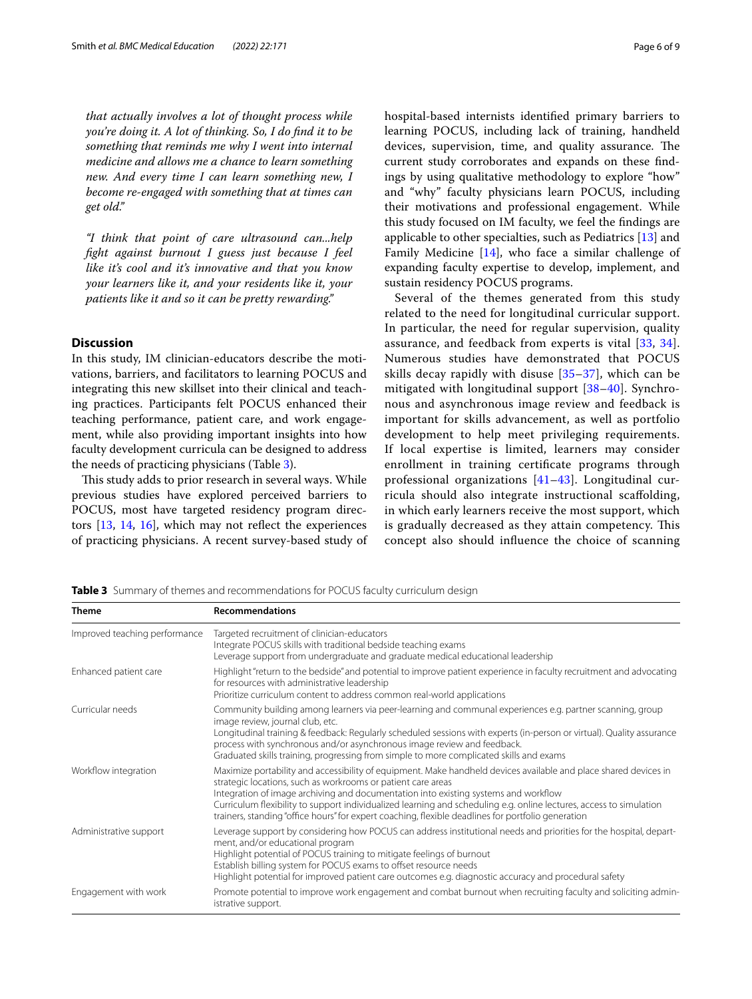*that actually involves a lot of thought process while you're doing it. A lot of thinking. So, I do fnd it to be something that reminds me why I went into internal medicine and allows me a chance to learn something new. And every time I can learn something new, I become re-engaged with something that at times can get old."*

*"I think that point of care ultrasound can...help fght against burnout I guess just because I feel like it's cool and it's innovative and that you know your learners like it, and your residents like it, your patients like it and so it can be pretty rewarding."*

# **Discussion**

In this study, IM clinician-educators describe the motivations, barriers, and facilitators to learning POCUS and integrating this new skillset into their clinical and teaching practices. Participants felt POCUS enhanced their teaching performance, patient care, and work engagement, while also providing important insights into how faculty development curricula can be designed to address the needs of practicing physicians (Table [3](#page-5-0)).

This study adds to prior research in several ways. While previous studies have explored perceived barriers to POCUS, most have targeted residency program directors  $[13, 14, 16]$  $[13, 14, 16]$  $[13, 14, 16]$  $[13, 14, 16]$  $[13, 14, 16]$ , which may not reflect the experiences of practicing physicians. A recent survey-based study of hospital-based internists identifed primary barriers to learning POCUS, including lack of training, handheld devices, supervision, time, and quality assurance. The current study corroborates and expands on these fndings by using qualitative methodology to explore "how" and "why" faculty physicians learn POCUS, including their motivations and professional engagement. While this study focused on IM faculty, we feel the fndings are applicable to other specialties, such as Pediatrics [[13\]](#page-7-8) and Family Medicine [\[14\]](#page-7-27), who face a similar challenge of expanding faculty expertise to develop, implement, and sustain residency POCUS programs.

Several of the themes generated from this study related to the need for longitudinal curricular support. In particular, the need for regular supervision, quality assurance, and feedback from experts is vital [[33,](#page-7-28) [34](#page-7-29)]. Numerous studies have demonstrated that POCUS skills decay rapidly with disuse [[35–](#page-8-0)[37\]](#page-8-1), which can be mitigated with longitudinal support [[38](#page-8-2)[–40](#page-8-3)]. Synchronous and asynchronous image review and feedback is important for skills advancement, as well as portfolio development to help meet privileging requirements. If local expertise is limited, learners may consider enrollment in training certifcate programs through professional organizations [[41–](#page-8-4)[43](#page-8-5)]. Longitudinal curricula should also integrate instructional scafolding, in which early learners receive the most support, which is gradually decreased as they attain competency. This concept also should infuence the choice of scanning

<span id="page-5-0"></span>**Table 3** Summary of themes and recommendations for POCUS faculty curriculum design

| <b>Theme</b>                  | <b>Recommendations</b>                                                                                                                                                                                                                                                                                                                                                                                                                                                                               |
|-------------------------------|------------------------------------------------------------------------------------------------------------------------------------------------------------------------------------------------------------------------------------------------------------------------------------------------------------------------------------------------------------------------------------------------------------------------------------------------------------------------------------------------------|
| Improved teaching performance | Targeted recruitment of clinician-educators<br>Integrate POCUS skills with traditional bedside teaching exams<br>Leverage support from undergraduate and graduate medical educational leadership                                                                                                                                                                                                                                                                                                     |
| Enhanced patient care         | Highlight "return to the bedside" and potential to improve patient experience in faculty recruitment and advocating<br>for resources with administrative leadership<br>Prioritize curriculum content to address common real-world applications                                                                                                                                                                                                                                                       |
| Curricular needs              | Community building among learners via peer-learning and communal experiences e.g. partner scanning, group<br>image review, journal club, etc.<br>Longitudinal training & feedback: Regularly scheduled sessions with experts (in-person or virtual). Quality assurance<br>process with synchronous and/or asynchronous image review and feedback.<br>Graduated skills training, progressing from simple to more complicated skills and exams                                                         |
| Workflow integration          | Maximize portability and accessibility of equipment. Make handheld devices available and place shared devices in<br>strategic locations, such as workrooms or patient care areas<br>Integration of image archiving and documentation into existing systems and workflow<br>Curriculum flexibility to support individualized learning and scheduling e.g. online lectures, access to simulation<br>trainers, standing "office hours" for expert coaching, flexible deadlines for portfolio generation |
| Administrative support        | Leverage support by considering how POCUS can address institutional needs and priorities for the hospital, depart-<br>ment, and/or educational program<br>Highlight potential of POCUS training to mitigate feelings of burnout<br>Establish billing system for POCUS exams to offset resource needs<br>Highlight potential for improved patient care outcomes e.g. diagnostic accuracy and procedural safety                                                                                        |
| Engagement with work          | Promote potential to improve work engagement and combat burnout when recruiting faculty and soliciting admin-<br>istrative support.                                                                                                                                                                                                                                                                                                                                                                  |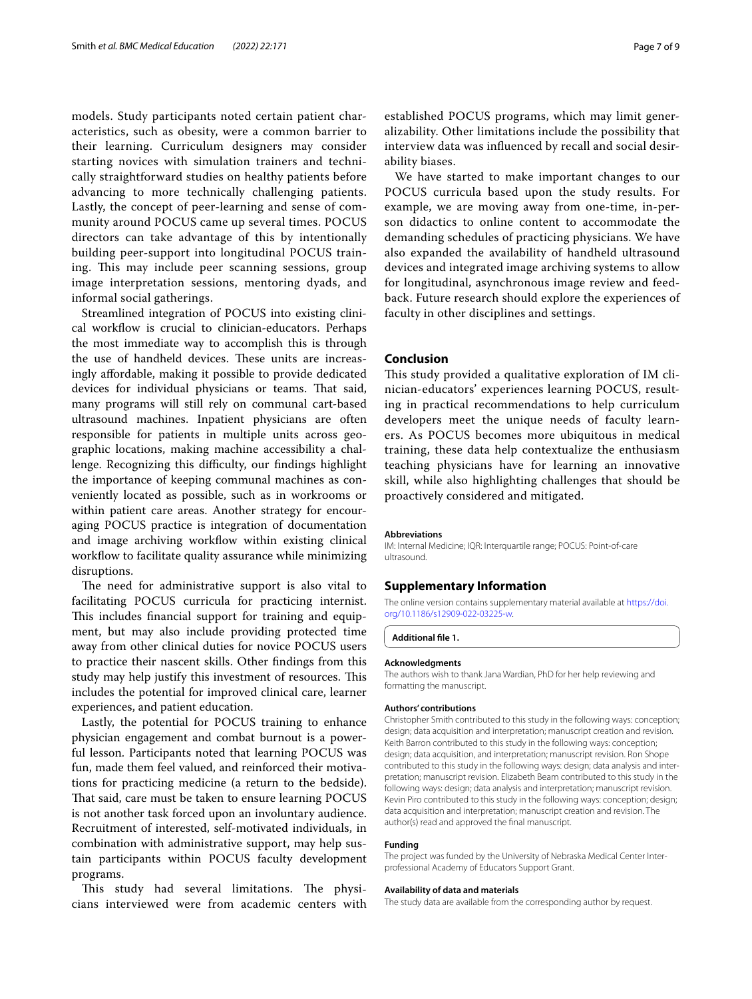models. Study participants noted certain patient characteristics, such as obesity, were a common barrier to their learning. Curriculum designers may consider starting novices with simulation trainers and technically straightforward studies on healthy patients before advancing to more technically challenging patients. Lastly, the concept of peer-learning and sense of community around POCUS came up several times. POCUS directors can take advantage of this by intentionally building peer-support into longitudinal POCUS training. This may include peer scanning sessions, group image interpretation sessions, mentoring dyads, and informal social gatherings.

Streamlined integration of POCUS into existing clinical workfow is crucial to clinician-educators. Perhaps the most immediate way to accomplish this is through the use of handheld devices. These units are increasingly afordable, making it possible to provide dedicated devices for individual physicians or teams. That said, many programs will still rely on communal cart-based ultrasound machines. Inpatient physicians are often responsible for patients in multiple units across geographic locations, making machine accessibility a challenge. Recognizing this difficulty, our findings highlight the importance of keeping communal machines as conveniently located as possible, such as in workrooms or within patient care areas. Another strategy for encouraging POCUS practice is integration of documentation and image archiving workflow within existing clinical workflow to facilitate quality assurance while minimizing disruptions.

The need for administrative support is also vital to facilitating POCUS curricula for practicing internist. This includes financial support for training and equipment, but may also include providing protected time away from other clinical duties for novice POCUS users to practice their nascent skills. Other fndings from this study may help justify this investment of resources. This includes the potential for improved clinical care, learner experiences, and patient education.

Lastly, the potential for POCUS training to enhance physician engagement and combat burnout is a powerful lesson. Participants noted that learning POCUS was fun, made them feel valued, and reinforced their motivations for practicing medicine (a return to the bedside). That said, care must be taken to ensure learning POCUS is not another task forced upon an involuntary audience. Recruitment of interested, self-motivated individuals, in combination with administrative support, may help sustain participants within POCUS faculty development programs.

This study had several limitations. The physicians interviewed were from academic centers with

established POCUS programs, which may limit generalizability. Other limitations include the possibility that interview data was infuenced by recall and social desirability biases.

We have started to make important changes to our POCUS curricula based upon the study results. For example, we are moving away from one-time, in-person didactics to online content to accommodate the demanding schedules of practicing physicians. We have also expanded the availability of handheld ultrasound devices and integrated image archiving systems to allow for longitudinal, asynchronous image review and feedback. Future research should explore the experiences of faculty in other disciplines and settings.

# **Conclusion**

This study provided a qualitative exploration of IM clinician-educators' experiences learning POCUS, resulting in practical recommendations to help curriculum developers meet the unique needs of faculty learners. As POCUS becomes more ubiquitous in medical training, these data help contextualize the enthusiasm teaching physicians have for learning an innovative skill, while also highlighting challenges that should be proactively considered and mitigated.

#### **Abbreviations**

IM: Internal Medicine; IQR: Interquartile range; POCUS: Point-of-care ultrasound.

## **Supplementary Information**

The online version contains supplementary material available at [https://doi.](https://doi.org/10.1186/s12909-022-03225-w) [org/10.1186/s12909-022-03225-w.](https://doi.org/10.1186/s12909-022-03225-w)

## <span id="page-6-0"></span>**Additional fle 1.**

#### **Acknowledgments**

The authors wish to thank Jana Wardian, PhD for her help reviewing and formatting the manuscript.

#### **Authors' contributions**

Christopher Smith contributed to this study in the following ways: conception; design; data acquisition and interpretation; manuscript creation and revision. Keith Barron contributed to this study in the following ways: conception; design; data acquisition, and interpretation; manuscript revision. Ron Shope contributed to this study in the following ways: design; data analysis and interpretation; manuscript revision. Elizabeth Beam contributed to this study in the following ways: design; data analysis and interpretation; manuscript revision. Kevin Piro contributed to this study in the following ways: conception; design; data acquisition and interpretation; manuscript creation and revision. The author(s) read and approved the fnal manuscript.

#### **Funding**

The project was funded by the University of Nebraska Medical Center Interprofessional Academy of Educators Support Grant.

#### **Availability of data and materials**

The study data are available from the corresponding author by request.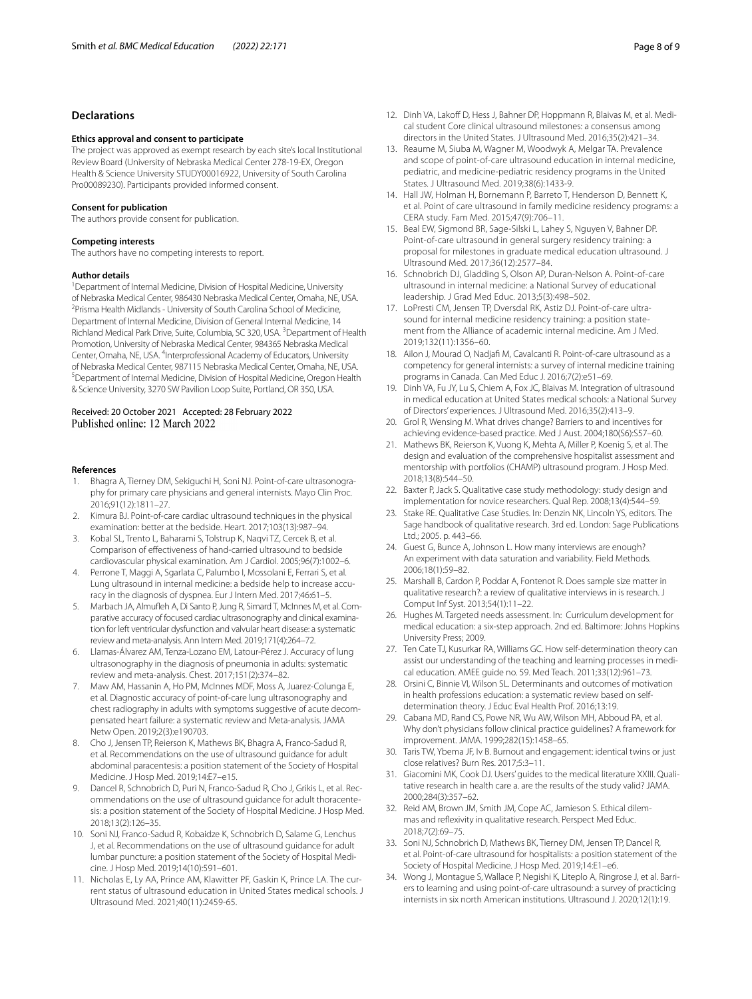# **Declarations**

#### **Ethics approval and consent to participate**

The project was approved as exempt research by each site's local Institutional Review Board (University of Nebraska Medical Center 278-19-EX, Oregon Health & Science University STUDY00016922, University of South Carolina Pro00089230). Participants provided informed consent.

#### **Consent for publication**

The authors provide consent for publication.

#### **Competing interests**

The authors have no competing interests to report.

#### **Author details**

<sup>1</sup> Department of Internal Medicine, Division of Hospital Medicine, University of Nebraska Medical Center, 986430 Nebraska Medical Center, Omaha, NE, USA. 2 <sup>2</sup> Prisma Health Midlands - University of South Carolina School of Medicine, Department of Internal Medicine, Division of General Internal Medicine, 14 Richland Medical Park Drive, Suite, Columbia, SC 320, USA.<sup>3</sup> Department of Health Promotion, University of Nebraska Medical Center, 984365 Nebraska Medical Center, Omaha, NE, USA. <sup>4</sup>Interprofessional Academy of Educators, University of Nebraska Medical Center, 987115 Nebraska Medical Center, Omaha, NE, USA. 5 <sup>5</sup> Department of Internal Medicine, Division of Hospital Medicine, Oregon Health & Science University, 3270 SW Pavilion Loop Suite, Portland, OR 350, USA.

# Received: 20 October 2021 Accepted: 28 February 2022 Published online: 12 March 2022

## **References**

- <span id="page-7-0"></span>1. Bhagra A, Tierney DM, Sekiguchi H, Soni NJ. Point-of-care ultrasonography for primary care physicians and general internists. Mayo Clin Proc. 2016;91(12):1811–27.
- 2. Kimura BJ. Point-of-care cardiac ultrasound techniques in the physical examination: better at the bedside. Heart. 2017;103(13):987–94.
- <span id="page-7-1"></span>3. Kobal SL, Trento L, Baharami S, Tolstrup K, Naqvi TZ, Cercek B, et al. Comparison of efectiveness of hand-carried ultrasound to bedside cardiovascular physical examination. Am J Cardiol. 2005;96(7):1002–6.
- <span id="page-7-2"></span>4. Perrone T, Maggi A, Sgarlata C, Palumbo I, Mossolani E, Ferrari S, et al. Lung ultrasound in internal medicine: a bedside help to increase accuracy in the diagnosis of dyspnea. Eur J Intern Med. 2017;46:61–5.
- 5. Marbach JA, Almufeh A, Di Santo P, Jung R, Simard T, McInnes M, et al. Comparative accuracy of focused cardiac ultrasonography and clinical examination for left ventricular dysfunction and valvular heart disease: a systematic review and meta-analysis. Ann Intern Med. 2019;171(4):264–72.
- 6. Llamas-Álvarez AM, Tenza-Lozano EM, Latour-Pérez J. Accuracy of lung ultrasonography in the diagnosis of pneumonia in adults: systematic review and meta-analysis. Chest. 2017;151(2):374–82.
- <span id="page-7-3"></span>7. Maw AM, Hassanin A, Ho PM, McInnes MDF, Moss A, Juarez-Colunga E, et al. Diagnostic accuracy of point-of-care lung ultrasonography and chest radiography in adults with symptoms suggestive of acute decompensated heart failure: a systematic review and Meta-analysis. JAMA Netw Open. 2019;2(3):e190703.
- <span id="page-7-4"></span>8. Cho J, Jensen TP, Reierson K, Mathews BK, Bhagra A, Franco-Sadud R, et al. Recommendations on the use of ultrasound guidance for adult abdominal paracentesis: a position statement of the Society of Hospital Medicine. J Hosp Med. 2019;14:E7–e15.
- 9. Dancel R, Schnobrich D, Puri N, Franco-Sadud R, Cho J, Grikis L, et al. Recommendations on the use of ultrasound guidance for adult thoracentesis: a position statement of the Society of Hospital Medicine. J Hosp Med. 2018;13(2):126–35.
- <span id="page-7-5"></span>10. Soni NJ, Franco-Sadud R, Kobaidze K, Schnobrich D, Salame G, Lenchus J, et al. Recommendations on the use of ultrasound guidance for adult lumbar puncture: a position statement of the Society of Hospital Medicine. J Hosp Med. 2019;14(10):591–601.
- <span id="page-7-6"></span>11. Nicholas E, Ly AA, Prince AM, Klawitter PF, Gaskin K, Prince LA. The current status of ultrasound education in United States medical schools. J Ultrasound Med. 2021;40(11):2459-65.
- <span id="page-7-7"></span>12. Dinh VA, Lakoff D, Hess J, Bahner DP, Hoppmann R, Blaivas M, et al. Medical student Core clinical ultrasound milestones: a consensus among directors in the United States. J Ultrasound Med. 2016;35(2):421–34.
- <span id="page-7-8"></span>13. Reaume M, Siuba M, Wagner M, Woodwyk A, Melgar TA. Prevalence and scope of point-of-care ultrasound education in internal medicine, pediatric, and medicine-pediatric residency programs in the United States. J Ultrasound Med. 2019;38(6):1433-9.
- <span id="page-7-27"></span>14. Hall JW, Holman H, Bornemann P, Barreto T, Henderson D, Bennett K, et al. Point of care ultrasound in family medicine residency programs: a CERA study. Fam Med. 2015;47(9):706–11.
- <span id="page-7-9"></span>15. Beal EW, Sigmond BR, Sage-Silski L, Lahey S, Nguyen V, Bahner DP. Point-of-care ultrasound in general surgery residency training: a proposal for milestones in graduate medical education ultrasound. J Ultrasound Med. 2017;36(12):2577–84.
- <span id="page-7-10"></span>16. Schnobrich DJ, Gladding S, Olson AP, Duran-Nelson A. Point-of-care ultrasound in internal medicine: a National Survey of educational leadership. J Grad Med Educ. 2013;5(3):498–502.
- <span id="page-7-11"></span>17. LoPresti CM, Jensen TP, Dversdal RK, Astiz DJ. Point-of-care ultrasound for internal medicine residency training: a position statement from the Alliance of academic internal medicine. Am J Med. 2019;132(11):1356–60.
- <span id="page-7-12"></span>18. Ailon J, Mourad O, Nadjaf M, Cavalcanti R. Point-of-care ultrasound as a competency for general internists: a survey of internal medicine training programs in Canada. Can Med Educ J. 2016;7(2):e51–69.
- <span id="page-7-13"></span>19. Dinh VA, Fu JY, Lu S, Chiem A, Fox JC, Blaivas M. Integration of ultrasound in medical education at United States medical schools: a National Survey of Directors' experiences. J Ultrasound Med. 2016;35(2):413–9.
- <span id="page-7-14"></span>20. Grol R, Wensing M. What drives change? Barriers to and incentives for achieving evidence-based practice. Med J Aust. 2004;180(S6):S57–60.
- <span id="page-7-15"></span>21. Mathews BK, Reierson K, Vuong K, Mehta A, Miller P, Koenig S, et al. The design and evaluation of the comprehensive hospitalist assessment and mentorship with portfolios (CHAMP) ultrasound program. J Hosp Med. 2018;13(8):544–50.
- <span id="page-7-16"></span>22. Baxter P, Jack S. Qualitative case study methodology: study design and implementation for novice researchers. Qual Rep. 2008;13(4):544–59.
- <span id="page-7-17"></span>23. Stake RE. Qualitative Case Studies. In: Denzin NK, Lincoln YS, editors. The Sage handbook of qualitative research. 3rd ed. London: Sage Publications Ltd.; 2005. p. 443–66.
- <span id="page-7-18"></span>24. Guest G, Bunce A, Johnson L. How many interviews are enough? An experiment with data saturation and variability. Field Methods. 2006;18(1):59–82.
- <span id="page-7-19"></span>25. Marshall B, Cardon P, Poddar A, Fontenot R. Does sample size matter in qualitative research?: a review of qualitative interviews in is research. J Comput Inf Syst. 2013;54(1):11–22.
- <span id="page-7-20"></span>26. Hughes M. Targeted needs assessment. In: Curriculum development for medical education: a six-step approach. 2nd ed. Baltimore: Johns Hopkins University Press; 2009.
- <span id="page-7-21"></span>27. Ten Cate TJ, Kusurkar RA, Williams GC. How self-determination theory can assist our understanding of the teaching and learning processes in medical education. AMEE guide no. 59. Med Teach. 2011;33(12):961–73.
- <span id="page-7-22"></span>28. Orsini C, Binnie VI, Wilson SL. Determinants and outcomes of motivation in health professions education: a systematic review based on selfdetermination theory. J Educ Eval Health Prof. 2016;13:19.
- <span id="page-7-23"></span>29. Cabana MD, Rand CS, Powe NR, Wu AW, Wilson MH, Abboud PA, et al. Why don't physicians follow clinical practice guidelines? A framework for improvement. JAMA. 1999;282(15):1458–65.
- <span id="page-7-24"></span>30. Taris TW, Ybema JF, Iv B. Burnout and engagement: identical twins or just close relatives? Burn Res. 2017;5:3–11.
- <span id="page-7-25"></span>31. Giacomini MK, Cook DJ. Users' guides to the medical literature XXIII. Qualitative research in health care a. are the results of the study valid? JAMA. 2000;284(3):357–62.
- <span id="page-7-26"></span>32. Reid AM, Brown JM, Smith JM, Cope AC, Jamieson S. Ethical dilemmas and refexivity in qualitative research. Perspect Med Educ. 2018;7(2):69–75.
- <span id="page-7-28"></span>33. Soni NJ, Schnobrich D, Mathews BK, Tierney DM, Jensen TP, Dancel R, et al. Point-of-care ultrasound for hospitalists: a position statement of the Society of Hospital Medicine. J Hosp Med. 2019;14:E1–e6.
- <span id="page-7-29"></span>34. Wong J, Montague S, Wallace P, Negishi K, Liteplo A, Ringrose J, et al. Barriers to learning and using point-of-care ultrasound: a survey of practicing internists in six north American institutions. Ultrasound J. 2020;12(1):19.